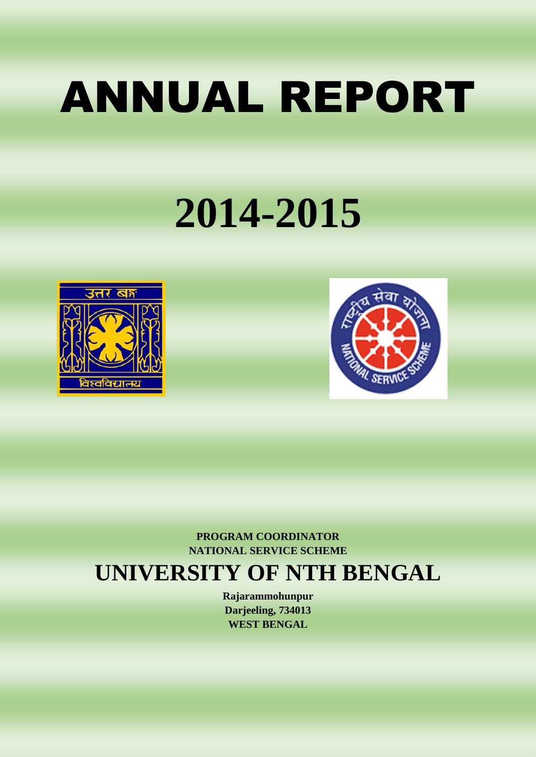# ANNUAL REPORT

## **2014-2015**





**PROGRAM COORDINATOR NATIONAL SERVICE SCHEME**

### **UNIVERSITY OF NTH BENGAL**

**Rajarammohunpur Darjeeling, 734013 WEST BENGAL**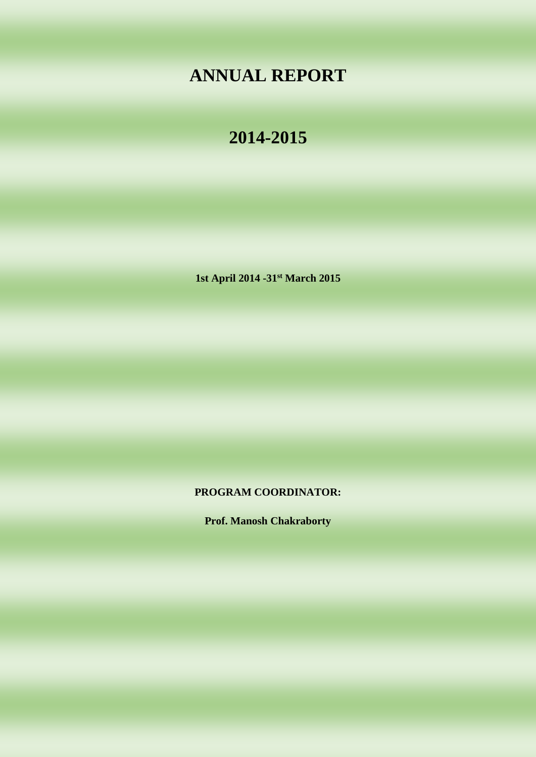#### **ANNUAL REPORT**

#### **2014-2015**

**1st April 2014 -31st March 2015**

**PROGRAM COORDINATOR:**

**Prof. Manosh Chakraborty**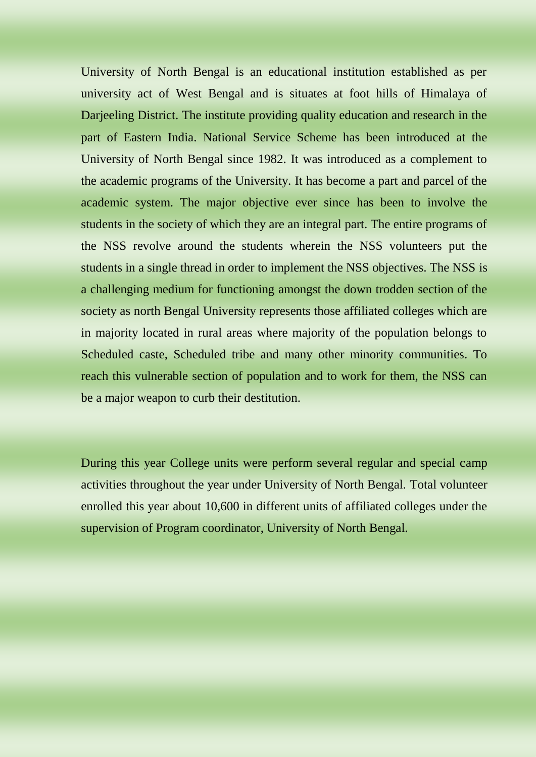University of North Bengal is an educational institution established as per university act of West Bengal and is situates at foot hills of Himalaya of Darjeeling District. The institute providing quality education and research in the part of Eastern India. National Service Scheme has been introduced at the University of North Bengal since 1982. It was introduced as a complement to the academic programs of the University. It has become a part and parcel of the academic system. The major objective ever since has been to involve the students in the society of which they are an integral part. The entire programs of the NSS revolve around the students wherein the NSS volunteers put the students in a single thread in order to implement the NSS objectives. The NSS is a challenging medium for functioning amongst the down trodden section of the society as north Bengal University represents those affiliated colleges which are in majority located in rural areas where majority of the population belongs to Scheduled caste, Scheduled tribe and many other minority communities. To reach this vulnerable section of population and to work for them, the NSS can be a major weapon to curb their destitution.

During this year College units were perform several regular and special camp activities throughout the year under University of North Bengal. Total volunteer enrolled this year about 10,600 in different units of affiliated colleges under the supervision of Program coordinator, University of North Bengal.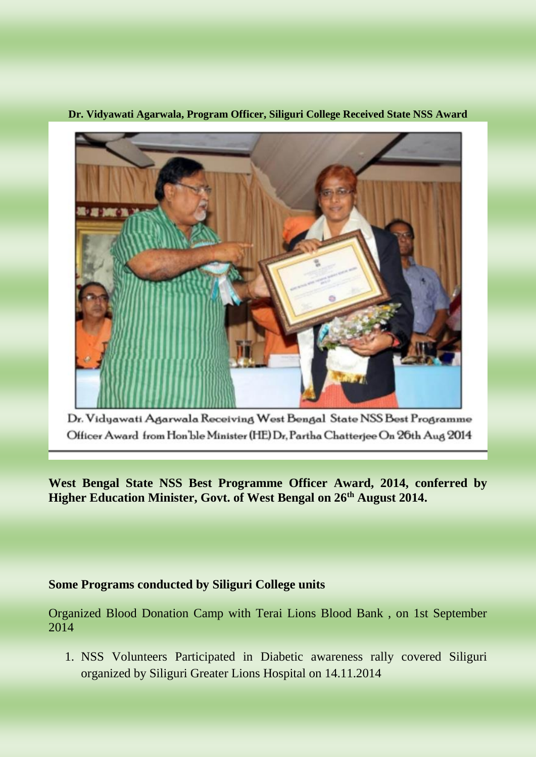

**Dr. Vidyawati Agarwala, Program Officer, Siliguri College Received State NSS Award** 

Dr. Vidyawati Agarwala Receiving West Bengal State NSS Best Programme Officer Award from Hon'ble Minister (HE) Dr, Partha Chatterjee On 26th Aug 2014

**West Bengal State NSS Best Programme Officer Award, 2014, conferred by Higher Education Minister, Govt. of West Bengal on 26th August 2014.**

#### **Some Programs conducted by Siliguri College units**

Organized Blood Donation Camp with Terai Lions Blood Bank , on 1st September 2014

1. NSS Volunteers Participated in Diabetic awareness rally covered Siliguri organized by Siliguri Greater Lions Hospital on 14.11.2014